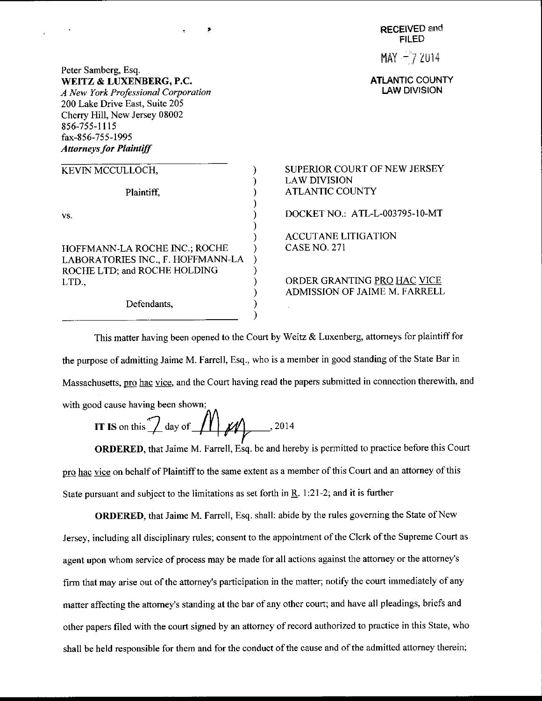**RECEIVED and FILED** 

MAY  $-72014$ 

ATLANTIC COUNTY LAW DIVISION

Peter Samberg, Esq. WEITZ & LUXENBERG, P.C. A New York Professional Corporation 200 Lake Drive East, Suite 205 Cherry Hill, New Jersey 08002 856-755-1 115 fax-856-755-1995 **Attorneys for Plaintiff** KEVIN MCCULLOCH, SUPERIOR COURT OF NEW JERSEY €

,

| ۰. | e.<br>ł |
|----|---------|

HOFFMANN.LA ROCHE INC,; ROCHE LABORATORIES INC., F. HOFFMANN-LA ROCHE LTD; and ROCHE HOLDING LTD.,

Plaintiff.

Defendants,

LAWDIVISION ATLANTIC COUNTY

DOCKET NO.: ATL-L-003795-10-MT

ACCUTANE LITIGATION CASENO.271

ORDER GRANTING PRO HAC VICE ADMISSION OF JAIME M, FARRELL

This matter having been opened to the Court by Weitz & Luxenberg, attomeys for plaintifffor the purpose of admitting Jaime M. Farrell, Esq., who is a member in good standing of the State Bar in Massachusetts, pro hac vice, and the Court having read the papers submitted in connection therewith, and with good cause having been shown;

℩ ) € €  $\mathcal{E}$  $\lambda$  $\mathcal{Y}$ 

€

IT IS on this  $\angle$  day of 2014

ORDERED, that Jaime M. Farrell, Esq. be and hereby is permitted to practice before this Court pro hac vice on behalf of Plaintiff to the same extent as a member of this Court and an attorney of this State pursuant and subject to the limitations as set forth in R. 1:21-2; and it is further

ORDERED, that Jaime M. Farell, Esq. shall: abide by the rules goveming the State of New Jersey, including all disciplinary rules; consent to the appointment of the Clerk of the Supreme Court as agent upon whom service of process may be made for all actions against the attomey or the attorney's firm that may arise out of the attorney's participation in the matter; notify the court immediately of any matter affecting the attorney's standing at the bar of any other court; and have all pleadings, briefs and other papers filed with the court signed by an attorney of record authorized to practice in this State, who shall be held responsible for them and for the conduct of the cause and of the admitted attorney therein;